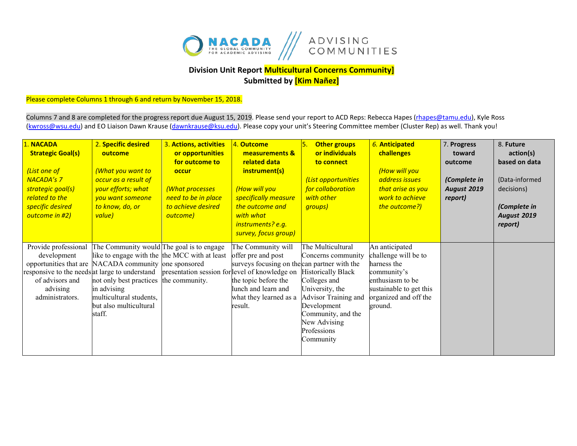

## **Division Unit Report Multicultural Concerns Community] Submitted by [Kim Nañez]**

Please complete Columns 1 through 6 and return by November 15, 2018.

Columns 7 and 8 are completed for the progress report due August 15, 2019. Please send your report to ACD Reps: Rebecca Hapes (rhapes@tamu.edu), Kyle Ross [\(kwross@wsu.edu\)](mailto:kwross@wsu.edu) and EO Liaison Dawn Krause (dawnkrause@ksu.edu). Please copy your unit's Steering Committee member (Cluster Rep) as well. Thank you!

| 1. NACADA<br><b>Strategic Goal(s)</b><br>(List one of<br><b>NACADA's 7</b><br>strategic goal(s)<br>related to the<br>specific desired<br>outcome in #2) | 2. Specific desired<br>outcome<br><mark>(What you want to</mark><br>occur as a result of<br>your efforts; what<br>you want someone<br>to know, do, or<br>value)                                                                                              | 3. Actions, activities<br>or opportunities<br>for outcome to<br>occur<br>(What processes<br>need to be in place<br>to achieve desired<br>outcome) | 4. Outcome<br>measurements &<br>related data<br>instrument(s)<br>(How will you<br>specifically measure<br>the outcome and<br>with what<br>instruments? e.g.<br>survey, focus group) | 5.<br><b>Other groups</b><br>or individuals<br>to connect<br>(List opportunities<br>for collaboration<br>with other<br>groups)                                                                                   | 6. Anticipated<br>challenges<br>(How will you<br>address issues<br>that arise as you<br>work to achieve<br>the outcome?)                                | 7. Progress<br>toward<br>outcome<br>(Complete in<br><b>August 2019</b><br>report) | 8. Future<br>action(s)<br>based on data<br>(Data-informed<br>decisions)<br>(Complete in<br><b>August 2019</b><br>report) |
|---------------------------------------------------------------------------------------------------------------------------------------------------------|--------------------------------------------------------------------------------------------------------------------------------------------------------------------------------------------------------------------------------------------------------------|---------------------------------------------------------------------------------------------------------------------------------------------------|-------------------------------------------------------------------------------------------------------------------------------------------------------------------------------------|------------------------------------------------------------------------------------------------------------------------------------------------------------------------------------------------------------------|---------------------------------------------------------------------------------------------------------------------------------------------------------|-----------------------------------------------------------------------------------|--------------------------------------------------------------------------------------------------------------------------|
| Provide professional<br>development<br>responsive to the needs at large to understand<br>of advisors and<br>advising<br>administrators.                 | The Community would The goal is to engage<br>like to engage with the the MCC with at least<br>opportunities that are NACADA community one sponsored<br>not only best practices<br>in advising<br>multicultural students,<br>but also multicultural<br>staff. | presentation session for level of knowledge on<br>the community.                                                                                  | The Community will<br>offer pre and post<br>surveys focusing on the can partner with the<br>the topic before the<br>lunch and learn and<br>what they learned as a<br>result.        | The Multicultural<br>Concerns community<br><b>Historically Black</b><br>Colleges and<br>University, the<br>Advisor Training and<br>Development<br>Community, and the<br>New Advising<br>Professions<br>Community | An anticipated<br>challenge will be to<br>harness the<br>community's<br>enthusiasm to be<br>sustainable to get this<br>organized and off the<br>ground. |                                                                                   |                                                                                                                          |